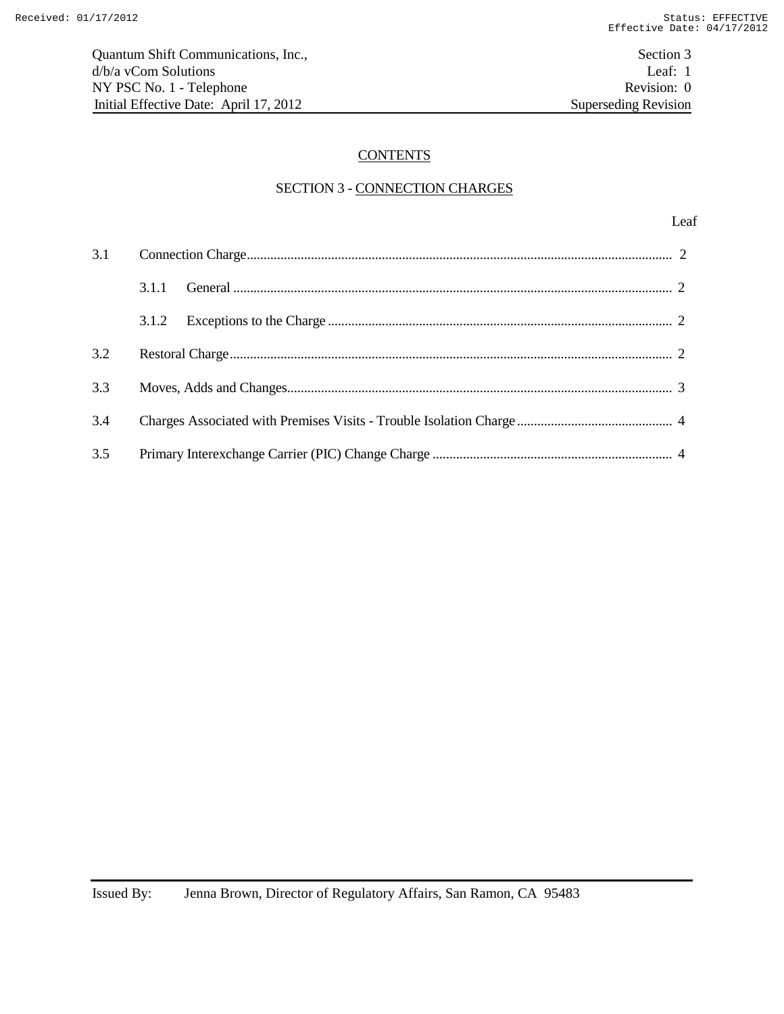# **CONTENTS**

### SECTION 3 - CONNECTION CHARGES

| 3.1 |       |  |
|-----|-------|--|
|     | 3.1.1 |  |
|     | 3.1.2 |  |
| 3.2 |       |  |
| 3.3 |       |  |
| 3.4 |       |  |
| 3.5 |       |  |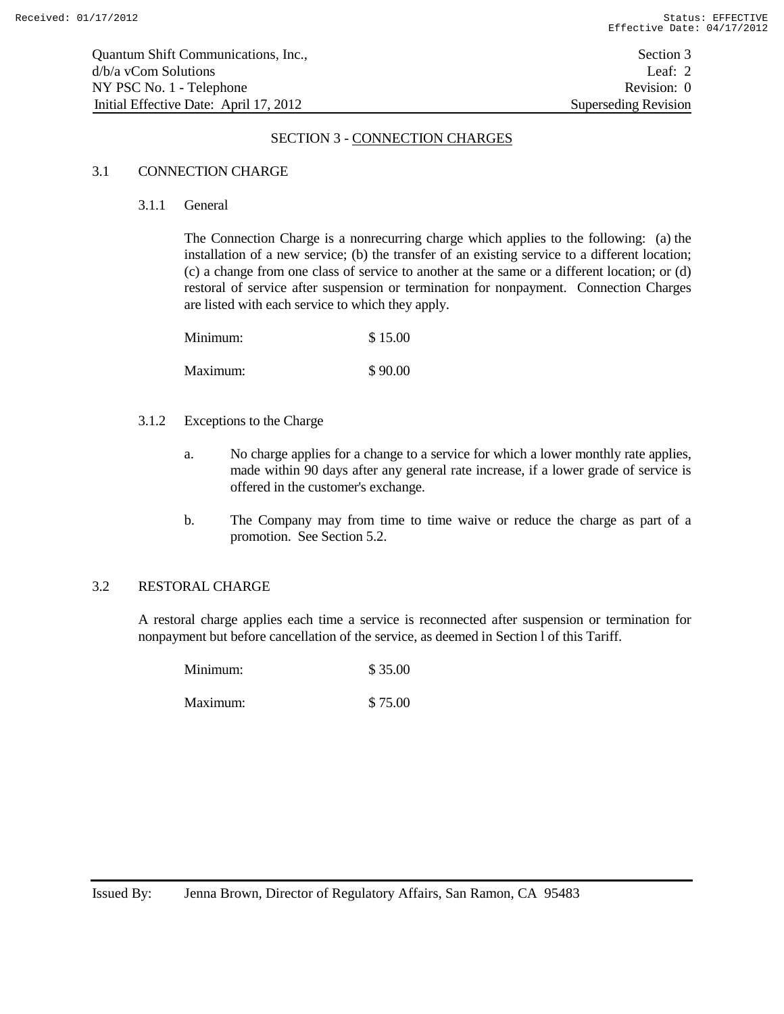#### SECTION 3 - CONNECTION CHARGES

### 3.1 CONNECTION CHARGE

3.1.1 General

The Connection Charge is a nonrecurring charge which applies to the following: (a) the installation of a new service; (b) the transfer of an existing service to a different location; (c) a change from one class of service to another at the same or a different location; or (d) restoral of service after suspension or termination for nonpayment. Connection Charges are listed with each service to which they apply.

| Minimum: | \$15.00 |
|----------|---------|
| Maximum: | \$90.00 |

#### 3.1.2 Exceptions to the Charge

- a. No charge applies for a change to a service for which a lower monthly rate applies, made within 90 days after any general rate increase, if a lower grade of service is offered in the customer's exchange.
- b. The Company may from time to time waive or reduce the charge as part of a promotion. See Section 5.2.

### 3.2 RESTORAL CHARGE

A restoral charge applies each time a service is reconnected after suspension or termination for nonpayment but before cancellation of the service, as deemed in Section l of this Tariff.

| Minimum: | \$35.00 |
|----------|---------|
| Maximum: | \$75.00 |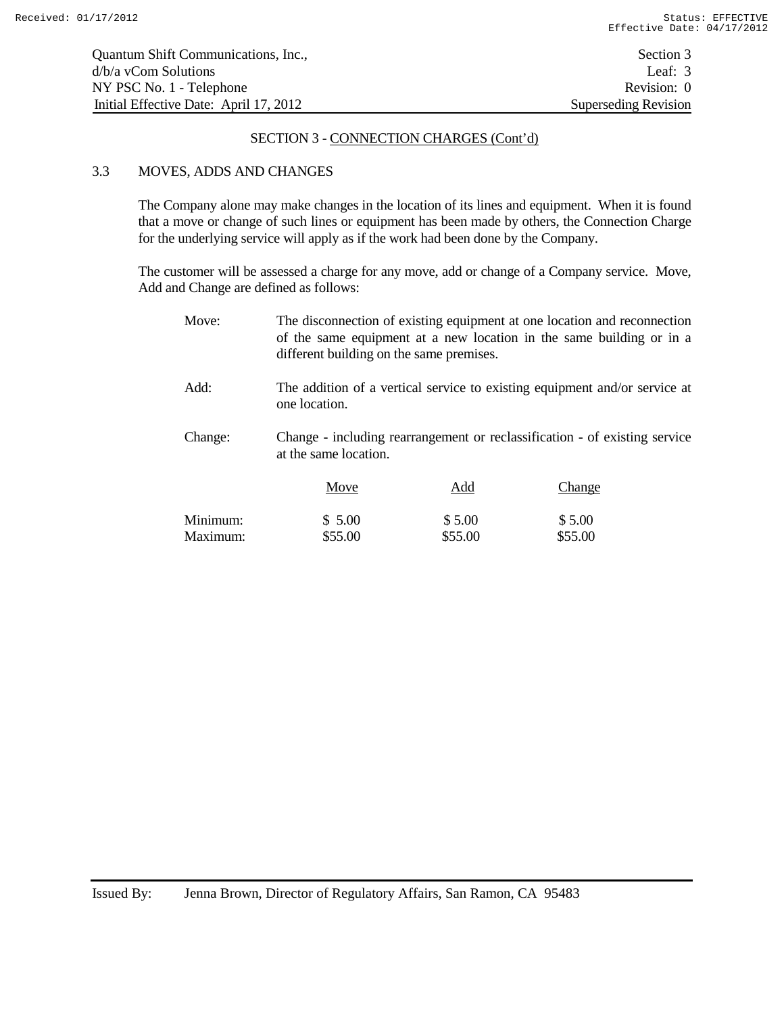#### SECTION 3 - CONNECTION CHARGES (Cont'd)

### 3.3 MOVES, ADDS AND CHANGES

The Company alone may make changes in the location of its lines and equipment. When it is found that a move or change of such lines or equipment has been made by others, the Connection Charge for the underlying service will apply as if the work had been done by the Company.

The customer will be assessed a charge for any move, add or change of a Company service. Move, Add and Change are defined as follows:

| Move:    | The disconnection of existing equipment at one location and reconnection<br>of the same equipment at a new location in the same building or in a<br>different building on the same premises. |         |         |  |
|----------|----------------------------------------------------------------------------------------------------------------------------------------------------------------------------------------------|---------|---------|--|
| Add:     | The addition of a vertical service to existing equipment and/or service at<br>one location.                                                                                                  |         |         |  |
| Change:  | Change - including rearrangement or reclassification - of existing service<br>at the same location.                                                                                          |         |         |  |
|          | Move                                                                                                                                                                                         | Add     | Change  |  |
| Minimum: | \$5.00                                                                                                                                                                                       | \$5.00  | \$5.00  |  |
| Maximum: | \$55.00                                                                                                                                                                                      | \$55.00 | \$55.00 |  |